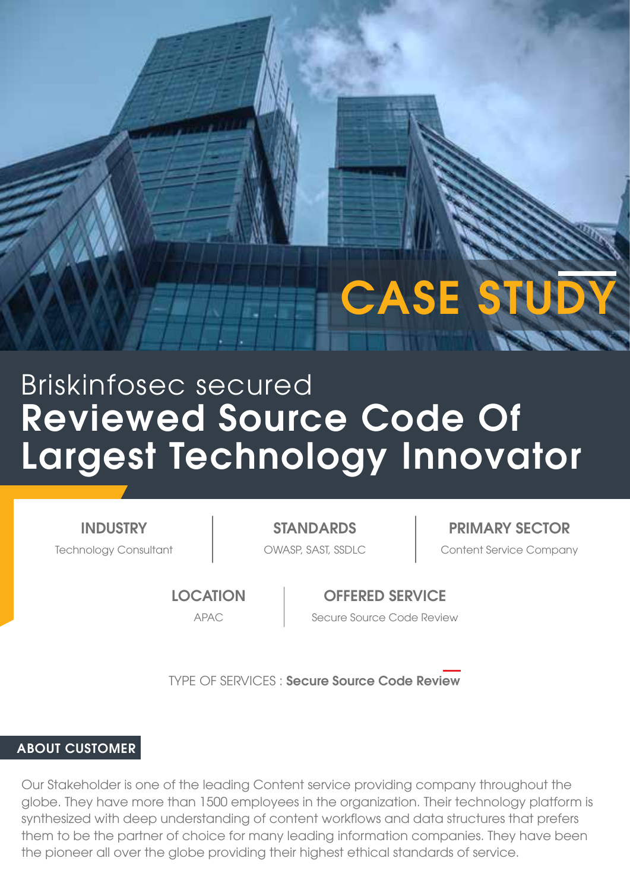**CASE ST** 

# Reviewed Source Code Of Largest Technology Innovator Briskinfosec secured

INDUSTRY

Technology Consultant The Content Service Company STANDARDS **PRIMARY SECTOR** 

**LOCATION** 

OFFERED SERVICE APAC Secure Source Code Review

TYPE OF SERVICES : Secure Source Code Review

## ABOUT CUSTOMER

Our Stakeholder is one of the leading Content service providing company throughout the globe. They have more than 1500 employees in the organization. Their technology platform is synthesized with deep understanding of content workflows and data structures that prefers them to be the partner of choice for many leading information companies. They have been the pioneer all over the globe providing their highest ethical standards of service.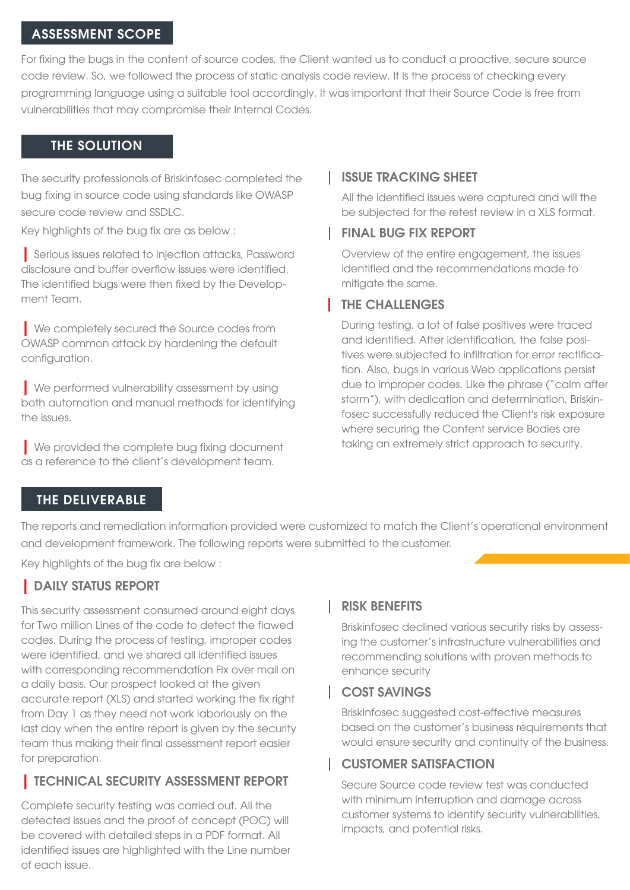#### ASSESSMENT SCOPE

For fixing the bugs in the content of source codes, the Client wanted us to conduct a proactive, secure source code review. So, we followed the process of static analysis code review. It is the process of checking every programming language using a suitable tool accordingly. It was important that their Source Code is free from vulnerabilities that may compromise their Internal Codes.

#### THE SOLUTION

The security professionals of Briskinfosec completed the bug fixing in source code using standards like OWASP secure code review and SSDLC.

Key highlights of the bug fix are as below :

| Serious issues related to Injection attacks, Password disclosure and buffer overflow issues were identified. The identified bugs were then fixed by the Development Team.

| We completely secured the Source codes from OWASP common attack by hardening the default configuration.

**| We performed vulnerability assessment by using** both automation and manual methods for identifying the issues.

| We provided the complete bug fixing document as a reference to the client's development team.

#### ISSUE TRACKING SHEET

All the identified issues were captured and will the be subjected for the retest review in a XLS format.

#### **FINAL BUG FIX REPORT**

Overview of the entire engagement, the issues identified and the recommendations made to mitigate the same.

## THE CHALLENGES

During testing, a lot of false positives were traced and identified. After identification, the false positives were subjected to infiltration for error rectification. Also, bugs in various Web applications persist due to improper codes. Like the phrase ("calm after storm"), with dedication and determination, Briskinfosec successfully reduced the Client's risk exposure where securing the Content service Bodies are taking an extremely strict approach to security.

## THE DELIVERABLE

The reports and remediation information provided were customized to match the Client's operational environment and development framework. The following reports were submitted to the customer.

Key highlights of the bug fix are below :

## | DAILY STATUS REPORT

This security assessment consumed around eight days for Two million Lines of the code to detect the flawed codes. During the process of testing, improper codes were identified, and we shared all identified issues with corresponding recommendation Fix over mail on a daily basis. Our prospect looked at the given accurate report (XLS) and started working the fix right from Day 1 as they need not work laboriously on the last day when the entire report is given by the security team thus making their final assessment report easier for preparation.

# | TECHNICAL SECURITY ASSESSMENT REPORT

Complete security testing was carried out. All the detected issues and the proof of concept (POC) will be covered with detailed steps in a PDF format. All identified issues are highlighted with the Line number of each issue.

## RISK BENEFITS

Briskinfosec declined various security risks by assessing the customer's infrastructure vulnerabilities and recommending solutions with proven methods to enhance security

#### COST SAVINGS

BriskInfosec suggested cost-effective measures based on the customer's business requirements that would ensure security and continuity of the business.

# CUSTOMER SATISFACTION

Secure Source code review test was conducted with minimum interruption and damage across customer systems to identify security vulnerabilities, impacts, and potential risks.